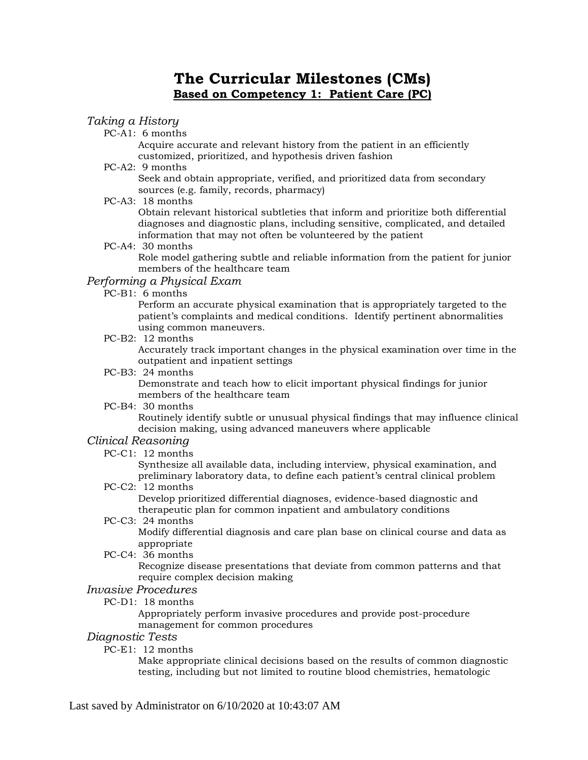# **The Curricular Milestones (CMs) Based on Competency 1: Patient Care (PC)**

### *Taking a History*

PC-A1: 6 months

Acquire accurate and relevant history from the patient in an efficiently customized, prioritized, and hypothesis driven fashion

PC-A2: 9 months

Seek and obtain appropriate, verified, and prioritized data from secondary sources (e.g. family, records, pharmacy)

PC-A3: 18 months

Obtain relevant historical subtleties that inform and prioritize both differential diagnoses and diagnostic plans, including sensitive, complicated, and detailed information that may not often be volunteered by the patient

PC-A4: 30 months

Role model gathering subtle and reliable information from the patient for junior members of the healthcare team

### *Performing a Physical Exam*

PC-B1: 6 months

Perform an accurate physical examination that is appropriately targeted to the patient's complaints and medical conditions. Identify pertinent abnormalities using common maneuvers.

PC-B2: 12 months

Accurately track important changes in the physical examination over time in the outpatient and inpatient settings

PC-B3: 24 months

Demonstrate and teach how to elicit important physical findings for junior members of the healthcare team

PC-B4: 30 months

Routinely identify subtle or unusual physical findings that may influence clinical decision making, using advanced maneuvers where applicable

### *Clinical Reasoning*

PC-C1: 12 months

Synthesize all available data, including interview, physical examination, and preliminary laboratory data, to define each patient's central clinical problem

PC-C2: 12 months

Develop prioritized differential diagnoses, evidence-based diagnostic and therapeutic plan for common inpatient and ambulatory conditions

PC-C3: 24 months

Modify differential diagnosis and care plan base on clinical course and data as appropriate

PC-C4: 36 months

Recognize disease presentations that deviate from common patterns and that require complex decision making

### *Invasive Procedures*

PC-D1: 18 months

Appropriately perform invasive procedures and provide post-procedure management for common procedures

- *Diagnostic Tests*
	- PC-E1: 12 months

Make appropriate clinical decisions based on the results of common diagnostic testing, including but not limited to routine blood chemistries, hematologic